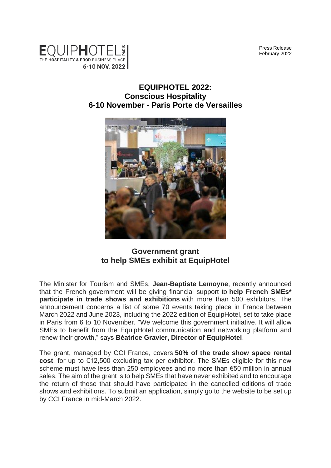Press Release February 2022



## **EQUIPHOTEL 2022: Conscious Hospitality 6-10 November - Paris Porte de Versailles**



**Government grant to help SMEs exhibit at EquipHotel**

The Minister for Tourism and SMEs, **Jean-Baptiste Lemoyne**, recently announced that the French government will be giving financial support to **help French SMEs\* participate in trade shows and exhibitions** with more than 500 exhibitors. The announcement concerns a list of some 70 events taking place in France between March 2022 and June 2023, including the 2022 edition of EquipHotel, set to take place in Paris from 6 to 10 November. "We welcome this government initiative. It will allow SMEs to benefit from the EquipHotel communication and networking platform and renew their growth," says **Béatrice Gravier, Director of EquipHotel**.

The grant, managed by CCI France, covers **50% of the trade show space rental cost**, for up to €12,500 excluding tax per exhibitor. The SMEs eligible for this new scheme must have less than 250 employees and no more than €50 million in annual sales. The aim of the grant is to help SMEs that have never exhibited and to encourage the return of those that should have participated in the cancelled editions of trade shows and exhibitions. To submit an application, simply go to the website to be set up by CCI France in mid-March 2022.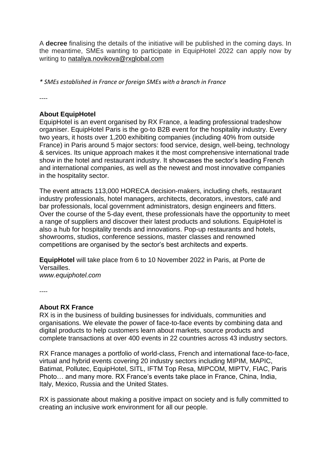A **decree** finalising the details of the initiative will be published in the coming days. In the meantime, SMEs wanting to participate in EquipHotel 2022 can apply now by writing to nataliya.novikova@rxglobal.com

*\* SMEs established in France or foreign SMEs with a branch in France*

----

## **About EquipHotel**

EquipHotel is an event organised by RX France, a leading professional tradeshow organiser. EquipHotel Paris is the go-to B2B event for the hospitality industry. Every two years, it hosts over 1,200 exhibiting companies (including 40% from outside France) in Paris around 5 major sectors: food service, design, well-being, technology & services. Its unique approach makes it the most comprehensive international trade show in the hotel and restaurant industry. It showcases the sector's leading French and international companies, as well as the newest and most innovative companies in the hospitality sector.

The event attracts 113,000 HORECA decision-makers, including chefs, restaurant industry professionals, hotel managers, architects, decorators, investors, café and bar professionals, local government administrators, design engineers and fitters. Over the course of the 5-day event, these professionals have the opportunity to meet a range of suppliers and discover their latest products and solutions. EquipHotel is also a hub for hospitality trends and innovations. Pop-up restaurants and hotels, showrooms, studios, conference sessions, master classes and renowned competitions are organised by the sector's best architects and experts.

**EquipHotel** will take place from 6 to 10 November 2022 in Paris, at Porte de Versailles.

*www.equiphotel.com*

----

## **About RX France**

RX is in the business of building businesses for individuals, communities and organisations. We elevate the power of face-to-face events by combining data and digital products to help customers learn about markets, source products and complete transactions at over 400 events in 22 countries across 43 industry sectors.

RX France manages a portfolio of world-class, French and international face-to-face, virtual and hybrid events covering 20 industry sectors including MIPIM, MAPIC, Batimat, Pollutec, EquipHotel, SITL, IFTM Top Resa, MIPCOM, MIPTV, FIAC, Paris Photo… and many more. RX France's events take place in France, China, India, Italy, Mexico, Russia and the United States.

RX is passionate about making a positive impact on society and is fully committed to creating an inclusive work environment for all our people.